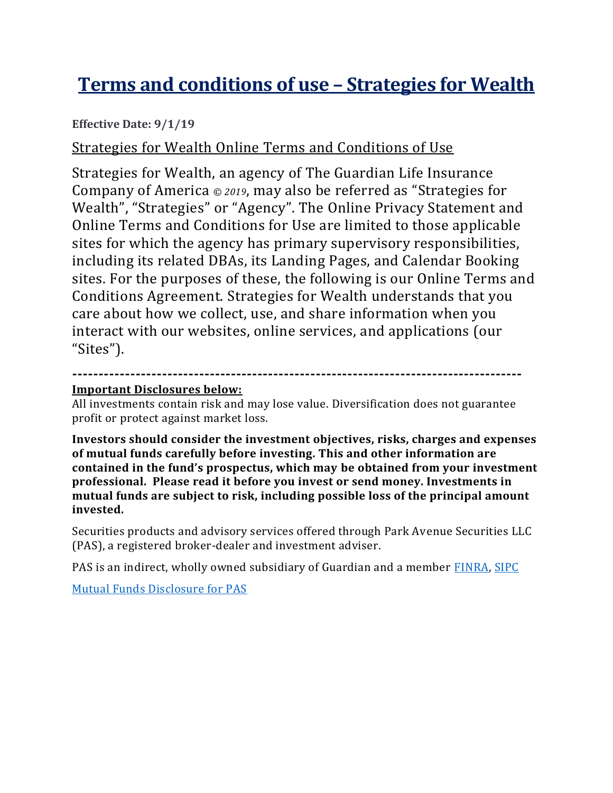# **Terms and conditions of use – Strategies for Wealth**

#### **Effective Date: 9/1/19**

#### Strategies for Wealth Online Terms and Conditions of Use

Strategies for Wealth, an agency of The Guardian Life Insurance Company of America *© 2019*, may also be referred as "Strategies for Wealth", "Strategies" or "Agency". The Online Privacy Statement and Online Terms and Conditions for Use are limited to those applicable sites for which the agency has primary supervisory responsibilities, including its related DBAs, its Landing Pages, and Calendar Booking sites. For the purposes of these, the following is our Online Terms and Conditions Agreement. Strategies for Wealth understands that you care about how we collect, use, and share information when you interact with our websites, online services, and applications (our "Sites").

#### **------------------------------------------------------------------------------------- Important Disclosures below:**

All investments contain risk and may lose value. Diversification does not guarantee profit or protect against market loss.

**Investors should consider the investment objectives, risks, charges and expenses of mutual funds carefully before investing. This and other information are contained in the fund's prospectus, which may be obtained from your investment professional. Please read it before you invest or send money. Investments in mutual funds are subject to risk, including possible loss of the principal amount invested.**

Securities products and advisory services offered through Park Avenue Securities LLC (PAS), a registered broker-dealer and investment adviser.

PAS is an indirect, wholly owned subsidiary of Guardian and a member [FINRA,](https://www.finra.org/#/) [SIPC](https://www.sipc.org/)

[Mutual Funds Disclosure for PAS](https://www.guardianlife.com/investments/mutual-funds-disclosure)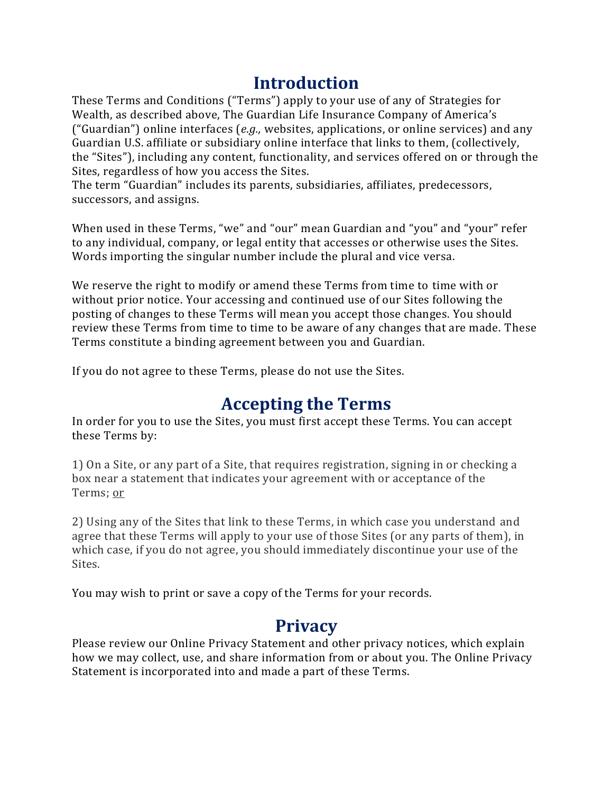## **Introduction**

These Terms and Conditions ("Terms") apply to your use of any of Strategies for Wealth, as described above, The Guardian Life Insurance Company of America's ("Guardian") online interfaces (*e.g.,* websites, applications, or online services) and any Guardian U.S. affiliate or subsidiary online interface that links to them, (collectively, the "Sites"), including any content, functionality, and services offered on or through the Sites, regardless of how you access the Sites.

The term "Guardian" includes its parents, subsidiaries, affiliates, predecessors, successors, and assigns.

When used in these Terms, "we" and "our" mean Guardian and "you" and "your" refer to any individual, company, or legal entity that accesses or otherwise uses the Sites. Words importing the singular number include the plural and vice versa.

We reserve the right to modify or amend these Terms from time to time with or without prior notice. Your accessing and continued use of our Sites following the posting of changes to these Terms will mean you accept those changes. You should review these Terms from time to time to be aware of any changes that are made. These Terms constitute a binding agreement between you and Guardian.

If you do not agree to these Terms, please do not use the Sites.

## **Accepting the Terms**

In order for you to use the Sites, you must first accept these Terms. You can accept these Terms by:

1) On a Site, or any part of a Site, that requires registration, signing in or checking a box near a statement that indicates your agreement with or acceptance of the Terms; or

2) Using any of the Sites that link to these Terms, in which case you understand and agree that these Terms will apply to your use of those Sites (or any parts of them), in which case, if you do not agree, you should immediately discontinue your use of the Sites.

You may wish to print or save a copy of the Terms for your records.

## **Privacy**

Please review our Online Privacy Statement and other privacy notices, which explain how we may collect, use, and share information from or about you. The Online Privacy Statement is incorporated into and made a part of these Terms.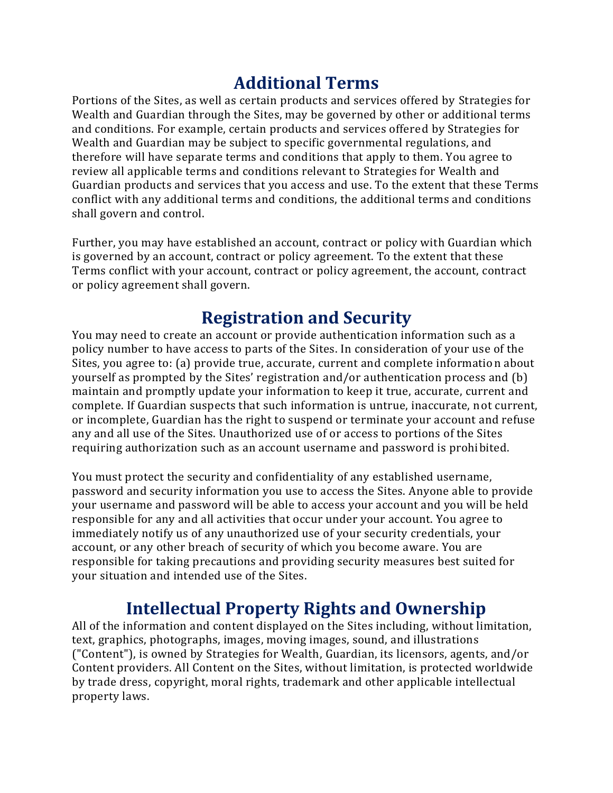## **Additional Terms**

Portions of the Sites, as well as certain products and services offered by Strategies for Wealth and Guardian through the Sites, may be governed by other or additional terms and conditions. For example, certain products and services offered by Strategies for Wealth and Guardian may be subject to specific governmental regulations, and therefore will have separate terms and conditions that apply to them. You agree to review all applicable terms and conditions relevant to Strategies for Wealth and Guardian products and services that you access and use. To the extent that these Terms conflict with any additional terms and conditions, the additional terms and conditions shall govern and control.

Further, you may have established an account, contract or policy with Guardian which is governed by an account, contract or policy agreement. To the extent that these Terms conflict with your account, contract or policy agreement, the account, contract or policy agreement shall govern.

## **Registration and Security**

You may need to create an account or provide authentication information such as a policy number to have access to parts of the Sites. In consideration of your use of the Sites, you agree to: (a) provide true, accurate, current and complete information about yourself as prompted by the Sites' registration and/or authentication process and (b) maintain and promptly update your information to keep it true, accurate, current and complete. If Guardian suspects that such information is untrue, inaccurate, not current, or incomplete, Guardian has the right to suspend or terminate your account and refuse any and all use of the Sites. Unauthorized use of or access to portions of the Sites requiring authorization such as an account username and password is prohibited.

You must protect the security and confidentiality of any established username, password and security information you use to access the Sites. Anyone able to provide your username and password will be able to access your account and you will be held responsible for any and all activities that occur under your account. You agree to immediately notify us of any unauthorized use of your security credentials, your account, or any other breach of security of which you become aware. You are responsible for taking precautions and providing security measures best suited for your situation and intended use of the Sites.

## **Intellectual Property Rights and Ownership**

All of the information and content displayed on the Sites including, without limitation, text, graphics, photographs, images, moving images, sound, and illustrations ("Content"), is owned by Strategies for Wealth, Guardian, its licensors, agents, and/or Content providers. All Content on the Sites, without limitation, is protected worldwide by trade dress, copyright, moral rights, trademark and other applicable intellectual property laws.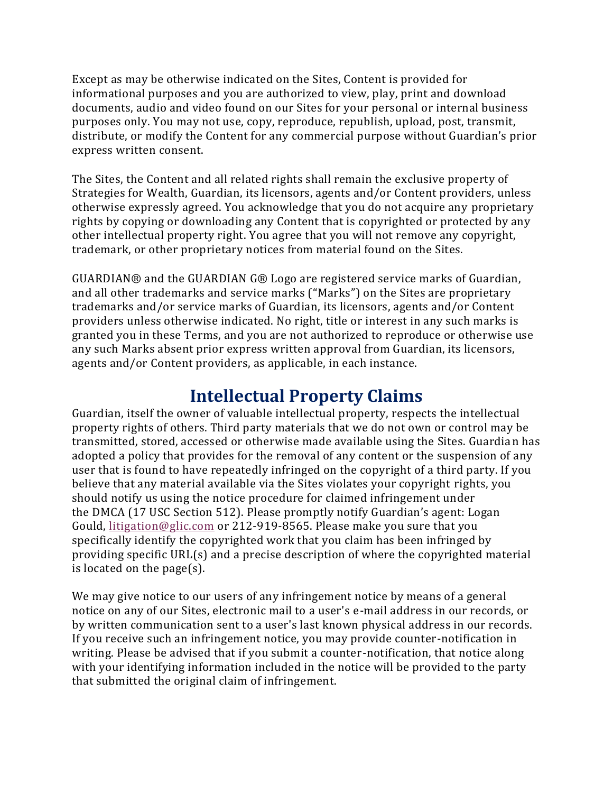Except as may be otherwise indicated on the Sites, Content is provided for informational purposes and you are authorized to view, play, print and download documents, audio and video found on our Sites for your personal or internal business purposes only. You may not use, copy, reproduce, republish, upload, post, transmit, distribute, or modify the Content for any commercial purpose without Guardian's prior express written consent.

The Sites, the Content and all related rights shall remain the exclusive property of Strategies for Wealth, Guardian, its licensors, agents and/or Content providers, unless otherwise expressly agreed. You acknowledge that you do not acquire any proprietary rights by copying or downloading any Content that is copyrighted or protected by any other intellectual property right. You agree that you will not remove any copyright, trademark, or other proprietary notices from material found on the Sites.

GUARDIAN® and the GUARDIAN G® Logo are registered service marks of Guardian, and all other trademarks and service marks ("Marks") on the Sites are proprietary trademarks and/or service marks of Guardian, its licensors, agents and/or Content providers unless otherwise indicated. No right, title or interest in any such marks is granted you in these Terms, and you are not authorized to reproduce or otherwise use any such Marks absent prior express written approval from Guardian, its licensors, agents and/or Content providers, as applicable, in each instance.

#### **Intellectual Property Claims**

Guardian, itself the owner of valuable intellectual property, respects the intellectual property rights of others. Third party materials that we do not own or control may be transmitted, stored, accessed or otherwise made available using the Sites. Guardian has adopted a policy that provides for the removal of any content or the suspension of any user that is found to have repeatedly infringed on the copyright of a third party. If you believe that any material available via the Sites violates your copyright rights, you should notify us using the notice procedure for claimed infringement under the DMCA (17 USC Section 512). Please promptly notify Guardian's agent: Logan Gould, [litigation@glic.com](mailto:litigation@glic.com) or 212-919-8565. Please make you sure that you specifically identify the copyrighted work that you claim has been infringed by providing specific URL(s) and a precise description of where the copyrighted material is located on the page(s).

We may give notice to our users of any infringement notice by means of a general notice on any of our Sites, electronic mail to a user's e-mail address in our records, or by written communication sent to a user's last known physical address in our records. If you receive such an infringement notice, you may provide counter-notification in writing. Please be advised that if you submit a counter-notification, that notice along with your identifying information included in the notice will be provided to the party that submitted the original claim of infringement.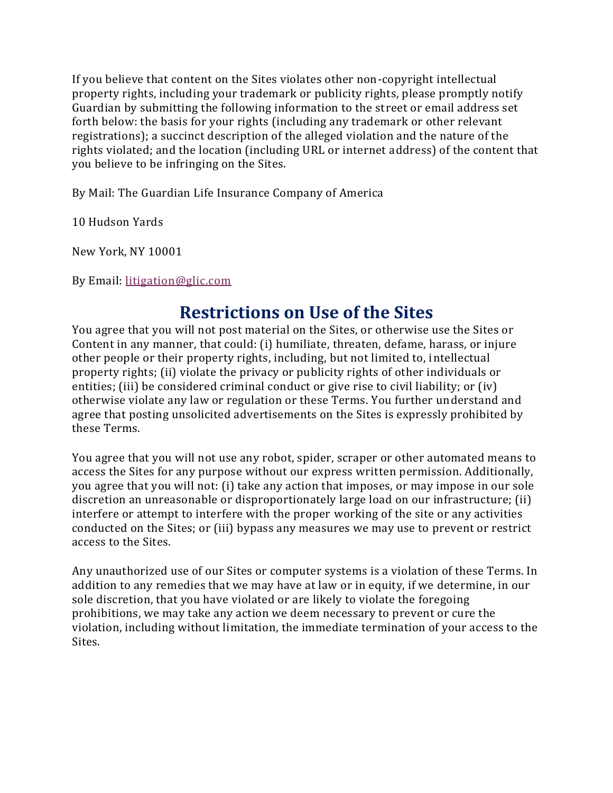If you believe that content on the Sites violates other non-copyright intellectual property rights, including your trademark or publicity rights, please promptly notify Guardian by submitting the following information to the street or email address set forth below: the basis for your rights (including any trademark or other relevant registrations); a succinct description of the alleged violation and the nature of the rights violated; and the location (including URL or internet address) of the content that you believe to be infringing on the Sites.

By Mail: The Guardian Life Insurance Company of America

10 Hudson Yards

New York, NY 10001

By Email: [litigation@glic.com](mailto:litigation@glic.com)

#### **Restrictions on Use of the Sites**

You agree that you will not post material on the Sites, or otherwise use the Sites or Content in any manner, that could: (i) humiliate, threaten, defame, harass, or injure other people or their property rights, including, but not limited to, intellectual property rights; (ii) violate the privacy or publicity rights of other individuals or entities; (iii) be considered criminal conduct or give rise to civil liability; or (iv) otherwise violate any law or regulation or these Terms. You further understand and agree that posting unsolicited advertisements on the Sites is expressly prohibited by these Terms.

You agree that you will not use any robot, spider, scraper or other automated means to access the Sites for any purpose without our express written permission. Additionally, you agree that you will not: (i) take any action that imposes, or may impose in our sole discretion an unreasonable or disproportionately large load on our infrastructure; (ii) interfere or attempt to interfere with the proper working of the site or any activities conducted on the Sites; or (iii) bypass any measures we may use to prevent or restrict access to the Sites.

Any unauthorized use of our Sites or computer systems is a violation of these Terms. In addition to any remedies that we may have at law or in equity, if we determine, in our sole discretion, that you have violated or are likely to violate the foregoing prohibitions, we may take any action we deem necessary to prevent or cure the violation, including without limitation, the immediate termination of your access to the Sites.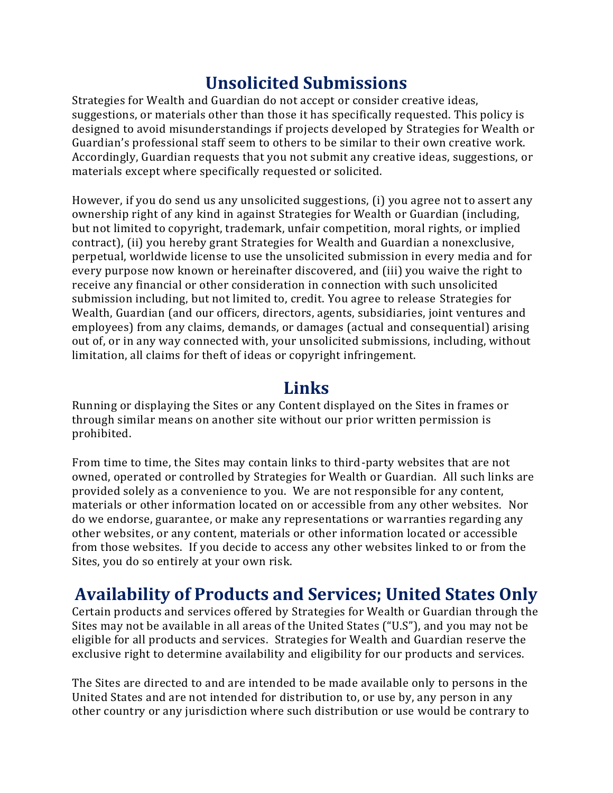## **Unsolicited Submissions**

Strategies for Wealth and Guardian do not accept or consider creative ideas, suggestions, or materials other than those it has specifically requested. This policy is designed to avoid misunderstandings if projects developed by Strategies for Wealth or Guardian's professional staff seem to others to be similar to their own creative work. Accordingly, Guardian requests that you not submit any creative ideas, suggestions, or materials except where specifically requested or solicited.

However, if you do send us any unsolicited suggestions, (i) you agree not to assert any ownership right of any kind in against Strategies for Wealth or Guardian (including, but not limited to copyright, trademark, unfair competition, moral rights, or implied contract), (ii) you hereby grant Strategies for Wealth and Guardian a nonexclusive, perpetual, worldwide license to use the unsolicited submission in every media and for every purpose now known or hereinafter discovered, and (iii) you waive the right to receive any financial or other consideration in connection with such unsolicited submission including, but not limited to, credit. You agree to release Strategies for Wealth, Guardian (and our officers, directors, agents, subsidiaries, joint ventures and employees) from any claims, demands, or damages (actual and consequential) arising out of, or in any way connected with, your unsolicited submissions, including, without limitation, all claims for theft of ideas or copyright infringement.

#### **Links**

Running or displaying the Sites or any Content displayed on the Sites in frames or through similar means on another site without our prior written permission is prohibited.

From time to time, the Sites may contain links to third-party websites that are not owned, operated or controlled by Strategies for Wealth or Guardian. All such links are provided solely as a convenience to you. We are not responsible for any content, materials or other information located on or accessible from any other websites. Nor do we endorse, guarantee, or make any representations or warranties regarding any other websites, or any content, materials or other information located or accessible from those websites. If you decide to access any other websites linked to or from the Sites, you do so entirely at your own risk.

## **Availability of Products and Services; United States Only**

Certain products and services offered by Strategies for Wealth or Guardian through the Sites may not be available in all areas of the United States ("U.S"), and you may not be eligible for all products and services. Strategies for Wealth and Guardian reserve the exclusive right to determine availability and eligibility for our products and services.

The Sites are directed to and are intended to be made available only to persons in the United States and are not intended for distribution to, or use by, any person in any other country or any jurisdiction where such distribution or use would be contrary to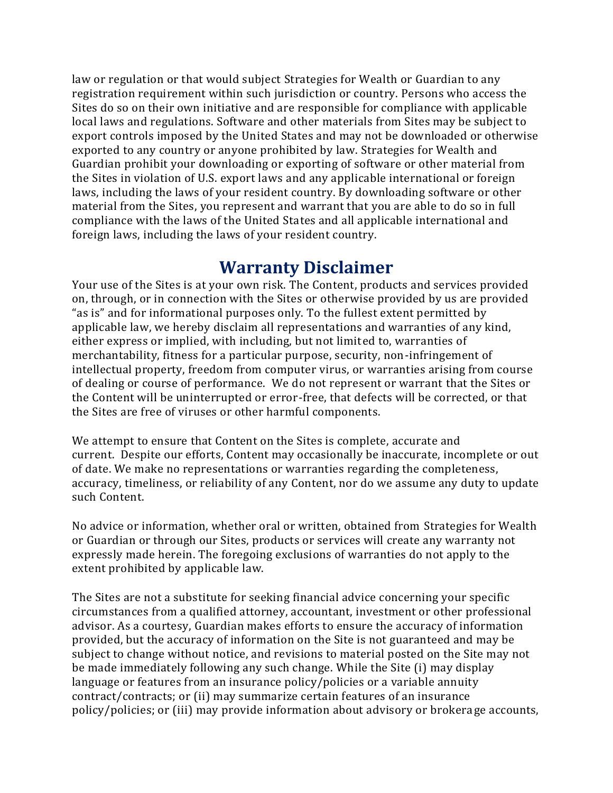law or regulation or that would subject Strategies for Wealth or Guardian to any registration requirement within such jurisdiction or country. Persons who access the Sites do so on their own initiative and are responsible for compliance with applicable local laws and regulations. Software and other materials from Sites may be subject to export controls imposed by the United States and may not be downloaded or otherwise exported to any country or anyone prohibited by law. Strategies for Wealth and Guardian prohibit your downloading or exporting of software or other material from the Sites in violation of U.S. export laws and any applicable international or foreign laws, including the laws of your resident country. By downloading software or other material from the Sites, you represent and warrant that you are able to do so in full compliance with the laws of the United States and all applicable international and foreign laws, including the laws of your resident country.

#### **Warranty Disclaimer**

Your use of the Sites is at your own risk. The Content, products and services provided on, through, or in connection with the Sites or otherwise provided by us are provided "as is" and for informational purposes only. To the fullest extent permitted by applicable law, we hereby disclaim all representations and warranties of any kind, either express or implied, with including, but not limited to, warranties of merchantability, fitness for a particular purpose, security, non-infringement of intellectual property, freedom from computer virus, or warranties arising from course of dealing or course of performance. We do not represent or warrant that the Sites or the Content will be uninterrupted or error-free, that defects will be corrected, or that the Sites are free of viruses or other harmful components.

We attempt to ensure that Content on the Sites is complete, accurate and current. Despite our efforts, Content may occasionally be inaccurate, incomplete or out of date. We make no representations or warranties regarding the completeness, accuracy, timeliness, or reliability of any Content, nor do we assume any duty to update such Content.

No advice or information, whether oral or written, obtained from Strategies for Wealth or Guardian or through our Sites, products or services will create any warranty not expressly made herein. The foregoing exclusions of warranties do not apply to the extent prohibited by applicable law.

The Sites are not a substitute for seeking financial advice concerning your specific circumstances from a qualified attorney, accountant, investment or other professional advisor. As a courtesy, Guardian makes efforts to ensure the accuracy of information provided, but the accuracy of information on the Site is not guaranteed and may be subject to change without notice, and revisions to material posted on the Site may not be made immediately following any such change. While the Site (i) may display language or features from an insurance policy/policies or a variable annuity contract/contracts; or (ii) may summarize certain features of an insurance policy/policies; or (iii) may provide information about advisory or brokerage accounts,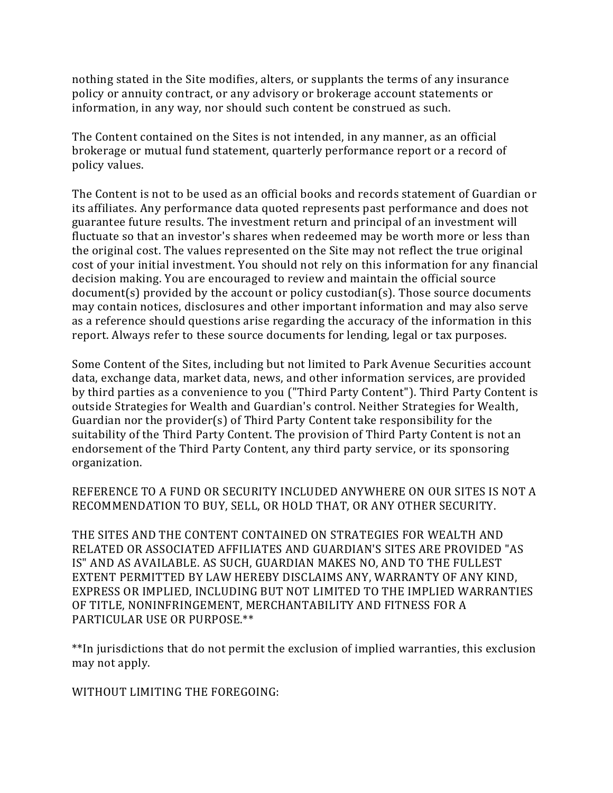nothing stated in the Site modifies, alters, or supplants the terms of any insurance policy or annuity contract, or any advisory or brokerage account statements or information, in any way, nor should such content be construed as such.

The Content contained on the Sites is not intended, in any manner, as an official brokerage or mutual fund statement, quarterly performance report or a record of policy values.

The Content is not to be used as an official books and records statement of Guardian or its affiliates. Any performance data quoted represents past performance and does not guarantee future results. The investment return and principal of an investment will fluctuate so that an investor's shares when redeemed may be worth more or less than the original cost. The values represented on the Site may not reflect the true original cost of your initial investment. You should not rely on this information for any financial decision making. You are encouraged to review and maintain the official source document(s) provided by the account or policy custodian(s). Those source documents may contain notices, disclosures and other important information and may also serve as a reference should questions arise regarding the accuracy of the information in this report. Always refer to these source documents for lending, legal or tax purposes.

Some Content of the Sites, including but not limited to Park Avenue Securities account data, exchange data, market data, news, and other information services, are provided by third parties as a convenience to you ("Third Party Content"). Third Party Content is outside Strategies for Wealth and Guardian's control. Neither Strategies for Wealth, Guardian nor the provider(s) of Third Party Content take responsibility for the suitability of the Third Party Content. The provision of Third Party Content is not an endorsement of the Third Party Content, any third party service, or its sponsoring organization.

REFERENCE TO A FUND OR SECURITY INCLUDED ANYWHERE ON OUR SITES IS NOT A RECOMMENDATION TO BUY, SELL, OR HOLD THAT, OR ANY OTHER SECURITY.

THE SITES AND THE CONTENT CONTAINED ON STRATEGIES FOR WEALTH AND RELATED OR ASSOCIATED AFFILIATES AND GUARDIAN'S SITES ARE PROVIDED "AS IS" AND AS AVAILABLE. AS SUCH, GUARDIAN MAKES NO, AND TO THE FULLEST EXTENT PERMITTED BY LAW HEREBY DISCLAIMS ANY, WARRANTY OF ANY KIND, EXPRESS OR IMPLIED, INCLUDING BUT NOT LIMITED TO THE IMPLIED WARRANTIES OF TITLE, NONINFRINGEMENT, MERCHANTABILITY AND FITNESS FOR A PARTICULAR USE OR PURPOSE.\*\*

\*\*In jurisdictions that do not permit the exclusion of implied warranties, this exclusion may not apply.

WITHOUT LIMITING THE FOREGOING: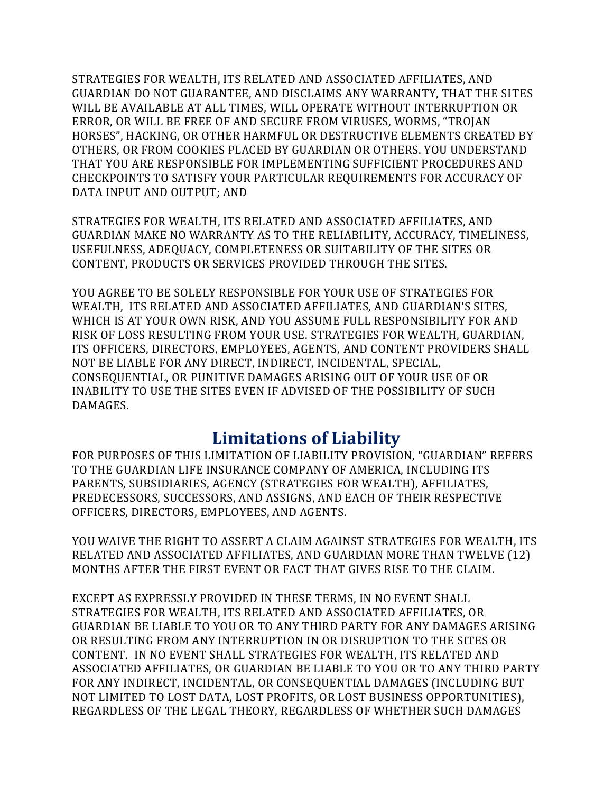STRATEGIES FOR WEALTH, ITS RELATED AND ASSOCIATED AFFILIATES, AND GUARDIAN DO NOT GUARANTEE, AND DISCLAIMS ANY WARRANTY, THAT THE SITES WILL BE AVAILABLE AT ALL TIMES, WILL OPERATE WITHOUT INTERRUPTION OR ERROR, OR WILL BE FREE OF AND SECURE FROM VIRUSES, WORMS, "TROJAN HORSES", HACKING, OR OTHER HARMFUL OR DESTRUCTIVE ELEMENTS CREATED BY OTHERS, OR FROM COOKIES PLACED BY GUARDIAN OR OTHERS. YOU UNDERSTAND THAT YOU ARE RESPONSIBLE FOR IMPLEMENTING SUFFICIENT PROCEDURES AND CHECKPOINTS TO SATISFY YOUR PARTICULAR REQUIREMENTS FOR ACCURACY OF DATA INPUT AND OUTPUT; AND

STRATEGIES FOR WEALTH, ITS RELATED AND ASSOCIATED AFFILIATES, AND GUARDIAN MAKE NO WARRANTY AS TO THE RELIABILITY, ACCURACY, TIMELINESS, USEFULNESS, ADEQUACY, COMPLETENESS OR SUITABILITY OF THE SITES OR CONTENT, PRODUCTS OR SERVICES PROVIDED THROUGH THE SITES.

YOU AGREE TO BE SOLELY RESPONSIBLE FOR YOUR USE OF STRATEGIES FOR WEALTH, ITS RELATED AND ASSOCIATED AFFILIATES, AND GUARDIAN'S SITES, WHICH IS AT YOUR OWN RISK, AND YOU ASSUME FULL RESPONSIBILITY FOR AND RISK OF LOSS RESULTING FROM YOUR USE. STRATEGIES FOR WEALTH, GUARDIAN, ITS OFFICERS, DIRECTORS, EMPLOYEES, AGENTS, AND CONTENT PROVIDERS SHALL NOT BE LIABLE FOR ANY DIRECT, INDIRECT, INCIDENTAL, SPECIAL, CONSEQUENTIAL, OR PUNITIVE DAMAGES ARISING OUT OF YOUR USE OF OR INABILITY TO USE THE SITES EVEN IF ADVISED OF THE POSSIBILITY OF SUCH DAMAGES.

#### **Limitations of Liability**

FOR PURPOSES OF THIS LIMITATION OF LIABILITY PROVISION, "GUARDIAN" REFERS TO THE GUARDIAN LIFE INSURANCE COMPANY OF AMERICA, INCLUDING ITS PARENTS, SUBSIDIARIES, AGENCY (STRATEGIES FOR WEALTH), AFFILIATES, PREDECESSORS, SUCCESSORS, AND ASSIGNS, AND EACH OF THEIR RESPECTIVE OFFICERS, DIRECTORS, EMPLOYEES, AND AGENTS.

YOU WAIVE THE RIGHT TO ASSERT A CLAIM AGAINST STRATEGIES FOR WEALTH, ITS RELATED AND ASSOCIATED AFFILIATES, AND GUARDIAN MORE THAN TWELVE (12) MONTHS AFTER THE FIRST EVENT OR FACT THAT GIVES RISE TO THE CLAIM.

EXCEPT AS EXPRESSLY PROVIDED IN THESE TERMS, IN NO EVENT SHALL STRATEGIES FOR WEALTH, ITS RELATED AND ASSOCIATED AFFILIATES, OR GUARDIAN BE LIABLE TO YOU OR TO ANY THIRD PARTY FOR ANY DAMAGES ARISING OR RESULTING FROM ANY INTERRUPTION IN OR DISRUPTION TO THE SITES OR CONTENT. IN NO EVENT SHALL STRATEGIES FOR WEALTH, ITS RELATED AND ASSOCIATED AFFILIATES, OR GUARDIAN BE LIABLE TO YOU OR TO ANY THIRD PARTY FOR ANY INDIRECT, INCIDENTAL, OR CONSEQUENTIAL DAMAGES (INCLUDING BUT NOT LIMITED TO LOST DATA, LOST PROFITS, OR LOST BUSINESS OPPORTUNITIES), REGARDLESS OF THE LEGAL THEORY, REGARDLESS OF WHETHER SUCH DAMAGES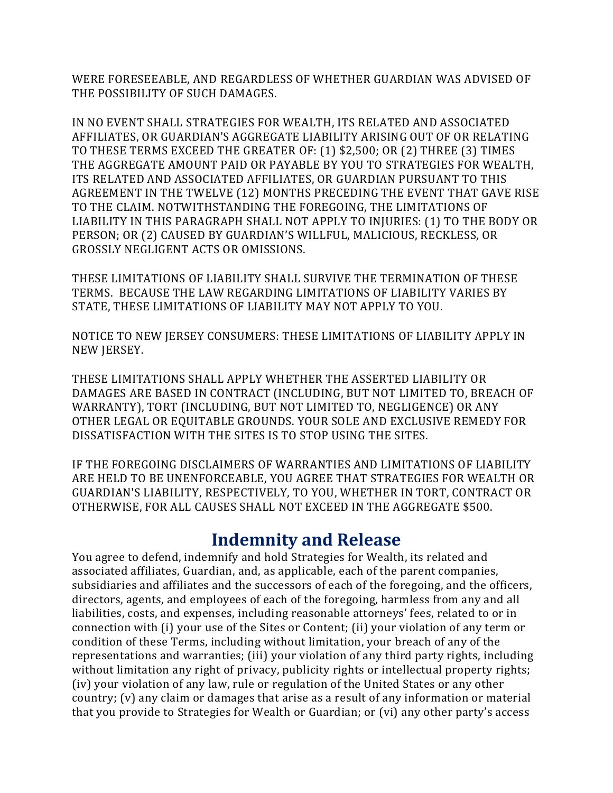WERE FORESEEABLE, AND REGARDLESS OF WHETHER GUARDIAN WAS ADVISED OF THE POSSIBILITY OF SUCH DAMAGES.

IN NO EVENT SHALL STRATEGIES FOR WEALTH, ITS RELATED AND ASSOCIATED AFFILIATES, OR GUARDIAN'S AGGREGATE LIABILITY ARISING OUT OF OR RELATING TO THESE TERMS EXCEED THE GREATER OF: (1) \$2,500; OR (2) THREE (3) TIMES THE AGGREGATE AMOUNT PAID OR PAYABLE BY YOU TO STRATEGIES FOR WEALTH, ITS RELATED AND ASSOCIATED AFFILIATES, OR GUARDIAN PURSUANT TO THIS AGREEMENT IN THE TWELVE (12) MONTHS PRECEDING THE EVENT THAT GAVE RISE TO THE CLAIM. NOTWITHSTANDING THE FOREGOING, THE LIMITATIONS OF LIABILITY IN THIS PARAGRAPH SHALL NOT APPLY TO INJURIES: (1) TO THE BODY OR PERSON; OR (2) CAUSED BY GUARDIAN'S WILLFUL, MALICIOUS, RECKLESS, OR GROSSLY NEGLIGENT ACTS OR OMISSIONS.

THESE LIMITATIONS OF LIABILITY SHALL SURVIVE THE TERMINATION OF THESE TERMS. BECAUSE THE LAW REGARDING LIMITATIONS OF LIABILITY VARIES BY STATE, THESE LIMITATIONS OF LIABILITY MAY NOT APPLY TO YOU.

NOTICE TO NEW JERSEY CONSUMERS: THESE LIMITATIONS OF LIABILITY APPLY IN NEW JERSEY.

THESE LIMITATIONS SHALL APPLY WHETHER THE ASSERTED LIABILITY OR DAMAGES ARE BASED IN CONTRACT (INCLUDING, BUT NOT LIMITED TO, BREACH OF WARRANTY), TORT (INCLUDING, BUT NOT LIMITED TO, NEGLIGENCE) OR ANY OTHER LEGAL OR EQUITABLE GROUNDS. YOUR SOLE AND EXCLUSIVE REMEDY FOR DISSATISFACTION WITH THE SITES IS TO STOP USING THE SITES.

IF THE FOREGOING DISCLAIMERS OF WARRANTIES AND LIMITATIONS OF LIABILITY ARE HELD TO BE UNENFORCEABLE, YOU AGREE THAT STRATEGIES FOR WEALTH OR GUARDIAN'S LIABILITY, RESPECTIVELY, TO YOU, WHETHER IN TORT, CONTRACT OR OTHERWISE, FOR ALL CAUSES SHALL NOT EXCEED IN THE AGGREGATE \$500.

#### **Indemnity and Release**

You agree to defend, indemnify and hold Strategies for Wealth, its related and associated affiliates, Guardian, and, as applicable, each of the parent companies, subsidiaries and affiliates and the successors of each of the foregoing, and the officers, directors, agents, and employees of each of the foregoing, harmless from any and all liabilities, costs, and expenses, including reasonable attorneys' fees, related to or in connection with (i) your use of the Sites or Content; (ii) your violation of any term or condition of these Terms, including without limitation, your breach of any of the representations and warranties; (iii) your violation of any third party rights, including without limitation any right of privacy, publicity rights or intellectual property rights; (iv) your violation of any law, rule or regulation of the United States or any other country; (v) any claim or damages that arise as a result of any information or material that you provide to Strategies for Wealth or Guardian; or (vi) any other party's access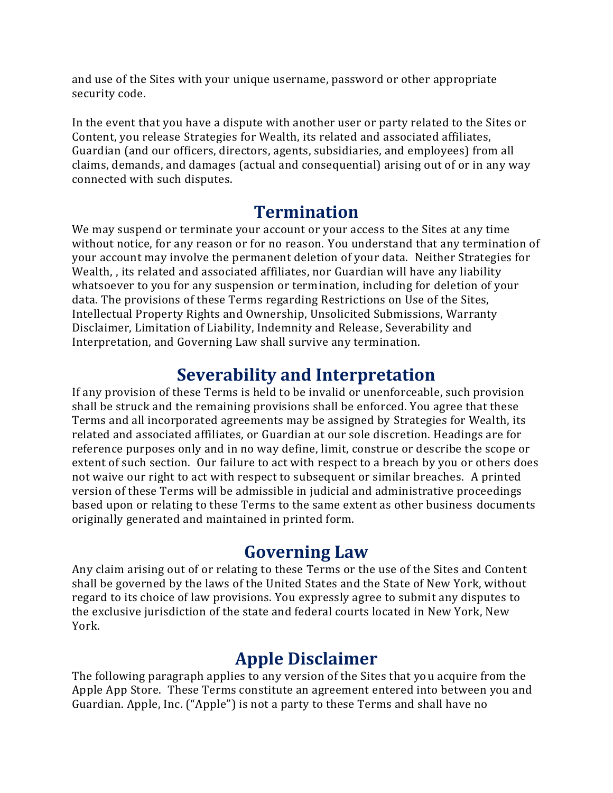and use of the Sites with your unique username, password or other appropriate security code.

In the event that you have a dispute with another user or party related to the Sites or Content, you release Strategies for Wealth, its related and associated affiliates, Guardian (and our officers, directors, agents, subsidiaries, and employees) from all claims, demands, and damages (actual and consequential) arising out of or in any way connected with such disputes.

## **Termination**

We may suspend or terminate your account or your access to the Sites at any time without notice, for any reason or for no reason. You understand that any termination of your account may involve the permanent deletion of your data. Neither Strategies for Wealth, , its related and associated affiliates, nor Guardian will have any liability whatsoever to you for any suspension or termination, including for deletion of your data. The provisions of these Terms regarding Restrictions on Use of the Sites, Intellectual Property Rights and Ownership, Unsolicited Submissions, Warranty Disclaimer, Limitation of Liability, Indemnity and Release, Severability and Interpretation, and Governing Law shall survive any termination.

## **Severability and Interpretation**

If any provision of these Terms is held to be invalid or unenforceable, such provision shall be struck and the remaining provisions shall be enforced. You agree that these Terms and all incorporated agreements may be assigned by Strategies for Wealth, its related and associated affiliates, or Guardian at our sole discretion. Headings are for reference purposes only and in no way define, limit, construe or describe the scope or extent of such section. Our failure to act with respect to a breach by you or others does not waive our right to act with respect to subsequent or similar breaches. A printed version of these Terms will be admissible in judicial and administrative proceedings based upon or relating to these Terms to the same extent as other business documents originally generated and maintained in printed form.

## **Governing Law**

Any claim arising out of or relating to these Terms or the use of the Sites and Content shall be governed by the laws of the United States and the State of New York, without regard to its choice of law provisions. You expressly agree to submit any disputes to the exclusive jurisdiction of the state and federal courts located in New York, New York.

## **Apple Disclaimer**

The following paragraph applies to any version of the Sites that you acquire from the Apple App Store. These Terms constitute an agreement entered into between you and Guardian. Apple, Inc. ("Apple") is not a party to these Terms and shall have no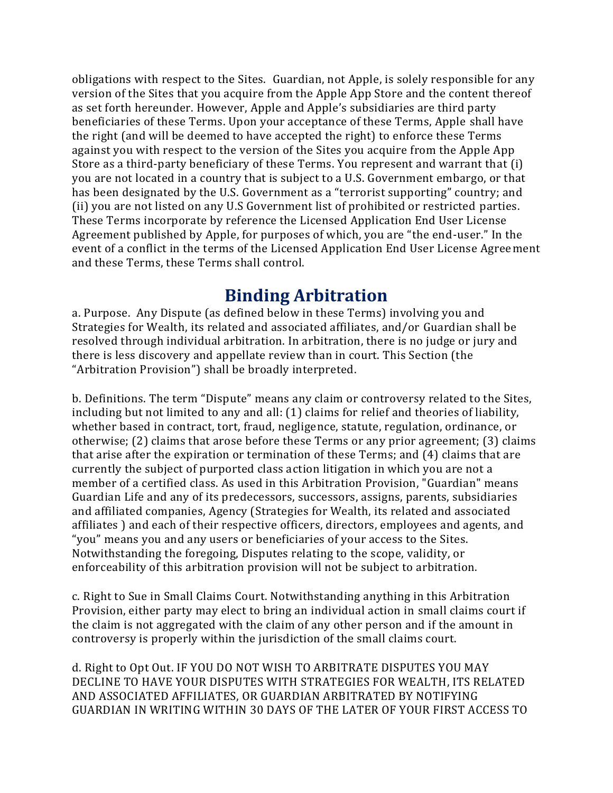obligations with respect to the Sites. Guardian, not Apple, is solely responsible for any version of the Sites that you acquire from the Apple App Store and the content thereof as set forth hereunder. However, Apple and Apple's subsidiaries are third party beneficiaries of these Terms. Upon your acceptance of these Terms, Apple shall have the right (and will be deemed to have accepted the right) to enforce these Terms against you with respect to the version of the Sites you acquire from the Apple App Store as a third-party beneficiary of these Terms. You represent and warrant that (i) you are not located in a country that is subject to a U.S. Government embargo, or that has been designated by the U.S. Government as a "terrorist supporting" country; and (ii) you are not listed on any U.S Government list of prohibited or restricted parties. These Terms incorporate by reference the Licensed Application End User License Agreement published by Apple, for purposes of which, you are "the end-user." In the event of a conflict in the terms of the Licensed Application End User License Agreement and these Terms, these Terms shall control.

#### **Binding Arbitration**

a. Purpose. Any Dispute (as defined below in these Terms) involving you and Strategies for Wealth, its related and associated affiliates, and/or Guardian shall be resolved through individual arbitration. In arbitration, there is no judge or jury and there is less discovery and appellate review than in court. This Section (the "Arbitration Provision") shall be broadly interpreted.

b. Definitions. The term "Dispute" means any claim or controversy related to the Sites, including but not limited to any and all: (1) claims for relief and theories of liability, whether based in contract, tort, fraud, negligence, statute, regulation, ordinance, or otherwise; (2) claims that arose before these Terms or any prior agreement; (3) claims that arise after the expiration or termination of these Terms; and (4) claims that are currently the subject of purported class action litigation in which you are not a member of a certified class. As used in this Arbitration Provision, "Guardian" means Guardian Life and any of its predecessors, successors, assigns, parents, subsidiaries and affiliated companies, Agency (Strategies for Wealth, its related and associated affiliates ) and each of their respective officers, directors, employees and agents, and "you" means you and any users or beneficiaries of your access to the Sites. Notwithstanding the foregoing, Disputes relating to the scope, validity, or enforceability of this arbitration provision will not be subject to arbitration.

c. Right to Sue in Small Claims Court. Notwithstanding anything in this Arbitration Provision, either party may elect to bring an individual action in small claims court if the claim is not aggregated with the claim of any other person and if the amount in controversy is properly within the jurisdiction of the small claims court.

d. Right to Opt Out. IF YOU DO NOT WISH TO ARBITRATE DISPUTES YOU MAY DECLINE TO HAVE YOUR DISPUTES WITH STRATEGIES FOR WEALTH, ITS RELATED AND ASSOCIATED AFFILIATES, OR GUARDIAN ARBITRATED BY NOTIFYING GUARDIAN IN WRITING WITHIN 30 DAYS OF THE LATER OF YOUR FIRST ACCESS TO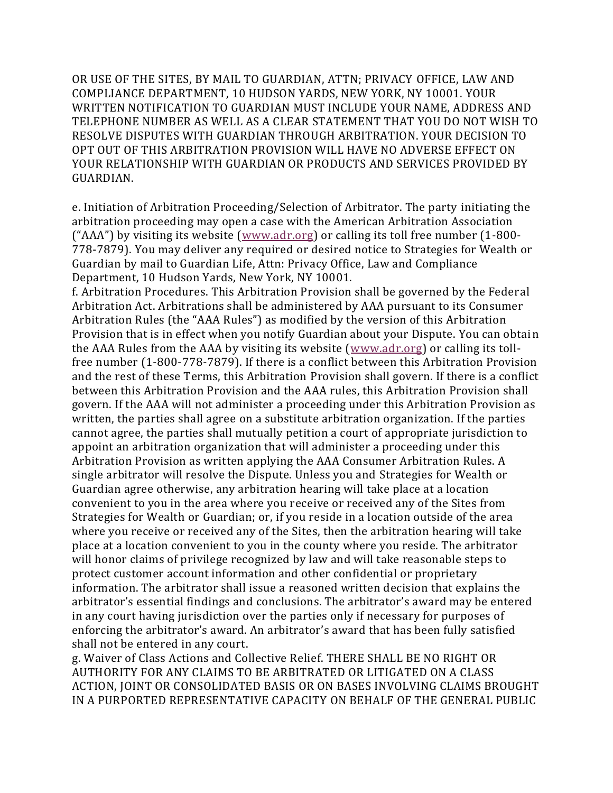OR USE OF THE SITES, BY MAIL TO GUARDIAN, ATTN; PRIVACY OFFICE, LAW AND COMPLIANCE DEPARTMENT, 10 HUDSON YARDS, NEW YORK, NY 10001. YOUR WRITTEN NOTIFICATION TO GUARDIAN MUST INCLUDE YOUR NAME, ADDRESS AND TELEPHONE NUMBER AS WELL AS A CLEAR STATEMENT THAT YOU DO NOT WISH TO RESOLVE DISPUTES WITH GUARDIAN THROUGH ARBITRATION. YOUR DECISION TO OPT OUT OF THIS ARBITRATION PROVISION WILL HAVE NO ADVERSE EFFECT ON YOUR RELATIONSHIP WITH GUARDIAN OR PRODUCTS AND SERVICES PROVIDED BY GUARDIAN.

e. Initiation of Arbitration Proceeding/Selection of Arbitrator. The party initiating the arbitration proceeding may open a case with the American Arbitration Association ("AAA") by visiting its website ([www.adr.org\)](http://www.adr.org/) or calling its toll free number (1-800- 778-7879). You may deliver any required or desired notice to Strategies for Wealth or Guardian by mail to Guardian Life, Attn: Privacy Office, Law and Compliance Department, 10 Hudson Yards, New York, NY 10001.

f. Arbitration Procedures. This Arbitration Provision shall be governed by the Federal Arbitration Act. Arbitrations shall be administered by AAA pursuant to its Consumer Arbitration Rules (the "AAA Rules") as modified by the version of this Arbitration Provision that is in effect when you notify Guardian about your Dispute. You can obtain the AAA Rules from the AAA by visiting its website [\(www.adr.org\)](http://www.adr.org/) or calling its tollfree number (1-800-778-7879). If there is a conflict between this Arbitration Provision and the rest of these Terms, this Arbitration Provision shall govern. If there is a conflict between this Arbitration Provision and the AAA rules, this Arbitration Provision shall govern. If the AAA will not administer a proceeding under this Arbitration Provision as written, the parties shall agree on a substitute arbitration organization. If the parties cannot agree, the parties shall mutually petition a court of appropriate jurisdiction to appoint an arbitration organization that will administer a proceeding under this Arbitration Provision as written applying the AAA Consumer Arbitration Rules. A single arbitrator will resolve the Dispute. Unless you and Strategies for Wealth or Guardian agree otherwise, any arbitration hearing will take place at a location convenient to you in the area where you receive or received any of the Sites from Strategies for Wealth or Guardian; or, if you reside in a location outside of the area where you receive or received any of the Sites, then the arbitration hearing will take place at a location convenient to you in the county where you reside. The arbitrator will honor claims of privilege recognized by law and will take reasonable steps to protect customer account information and other confidential or proprietary information. The arbitrator shall issue a reasoned written decision that explains the arbitrator's essential findings and conclusions. The arbitrator's award may be entered in any court having jurisdiction over the parties only if necessary for purposes of enforcing the arbitrator's award. An arbitrator's award that has been fully satisfied shall not be entered in any court.

g. Waiver of Class Actions and Collective Relief. THERE SHALL BE NO RIGHT OR AUTHORITY FOR ANY CLAIMS TO BE ARBITRATED OR LITIGATED ON A CLASS ACTION, JOINT OR CONSOLIDATED BASIS OR ON BASES INVOLVING CLAIMS BROUGHT IN A PURPORTED REPRESENTATIVE CAPACITY ON BEHALF OF THE GENERAL PUBLIC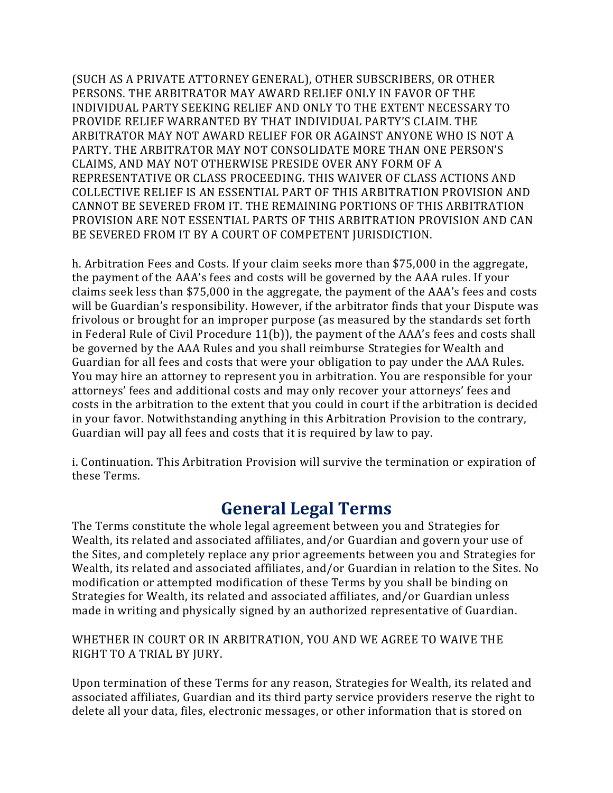(SUCH AS A PRIVATE ATTORNEY GENERAL), OTHER SUBSCRIBERS, OR OTHER PERSONS. THE ARBITRATOR MAY AWARD RELIEF ONLY IN FAVOR OF THE INDIVIDUAL PARTY SEEKING RELIEF AND ONLY TO THE EXTENT NECESSARY TO PROVIDE RELIEF WARRANTED BY THAT INDIVIDUAL PARTY'S CLAIM. THE ARBITRATOR MAY NOT AWARD RELIEF FOR OR AGAINST ANYONE WHO IS NOT A PARTY. THE ARBITRATOR MAY NOT CONSOLIDATE MORE THAN ONE PERSON'S CLAIMS, AND MAY NOT OTHERWISE PRESIDE OVER ANY FORM OF A REPRESENTATIVE OR CLASS PROCEEDING. THIS WAIVER OF CLASS ACTIONS AND COLLECTIVE RELIEF IS AN ESSENTIAL PART OF THIS ARBITRATION PROVISION AND CANNOT BE SEVERED FROM IT. THE REMAINING PORTIONS OF THIS ARBITRATION PROVISION ARE NOT ESSENTIAL PARTS OF THIS ARBITRATION PROVISION AND CAN BE SEVERED FROM IT BY A COURT OF COMPETENT JURISDICTION.

h. Arbitration Fees and Costs. If your claim seeks more than \$75,000 in the aggregate, the payment of the AAA's fees and costs will be governed by the AAA rules. If your claims seek less than \$75,000 in the aggregate, the payment of the AAA's fees and costs will be Guardian's responsibility. However, if the arbitrator finds that your Dispute was frivolous or brought for an improper purpose (as measured by the standards set forth in Federal Rule of Civil Procedure 11(b)), the payment of the AAA's fees and costs shall be governed by the AAA Rules and you shall reimburse Strategies for Wealth and Guardian for all fees and costs that were your obligation to pay under the AAA Rules. You may hire an attorney to represent you in arbitration. You are responsible for your attorneys' fees and additional costs and may only recover your attorneys' fees and costs in the arbitration to the extent that you could in court if the arbitration is decided in your favor. Notwithstanding anything in this Arbitration Provision to the contrary, Guardian will pay all fees and costs that it is required by law to pay.

i. Continuation. This Arbitration Provision will survive the termination or expiration of these Terms.

#### **General Legal Terms**

The Terms constitute the whole legal agreement between you and Strategies for Wealth, its related and associated affiliates, and/or Guardian and govern your use of the Sites, and completely replace any prior agreements between you and Strategies for Wealth, its related and associated affiliates, and/or Guardian in relation to the Sites. No modification or attempted modification of these Terms by you shall be binding on Strategies for Wealth, its related and associated affiliates, and/or Guardian unless made in writing and physically signed by an authorized representative of Guardian.

#### WHETHER IN COURT OR IN ARBITRATION, YOU AND WE AGREE TO WAIVE THE RIGHT TO A TRIAL BY JURY.

Upon termination of these Terms for any reason, Strategies for Wealth, its related and associated affiliates, Guardian and its third party service providers reserve the right to delete all your data, files, electronic messages, or other information that is stored on